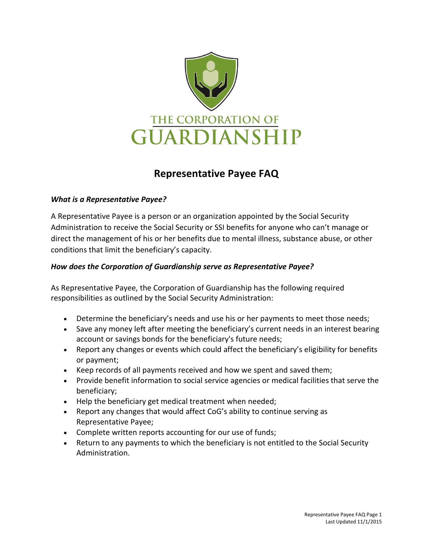

# **Representative Payee FAQ**

## *What is a Representative Payee?*

A Representative Payee is a person or an organization appointed by the Social Security Administration to receive the Social Security or SSI benefits for anyone who can't manage or direct the management of his or her benefits due to mental illness, substance abuse, or other conditions that limit the beneficiary's capacity.

# *How does the Corporation of Guardianship serve as Representative Payee?*

As Representative Payee, the Corporation of Guardianship has the following required responsibilities as outlined by the Social Security Administration:

- Determine the beneficiary's needs and use his or her payments to meet those needs;
- Save any money left after meeting the beneficiary's current needs in an interest bearing account or savings bonds for the beneficiary's future needs;
- Report any changes or events which could affect the beneficiary's eligibility for benefits or payment;
- Keep records of all payments received and how we spent and saved them;
- Provide benefit information to social service agencies or medical facilities that serve the beneficiary;
- Help the beneficiary get medical treatment when needed;
- Report any changes that would affect CoG's ability to continue serving as Representative Payee;
- Complete written reports accounting for our use of funds;
- Return to any payments to which the beneficiary is not entitled to the Social Security Administration.